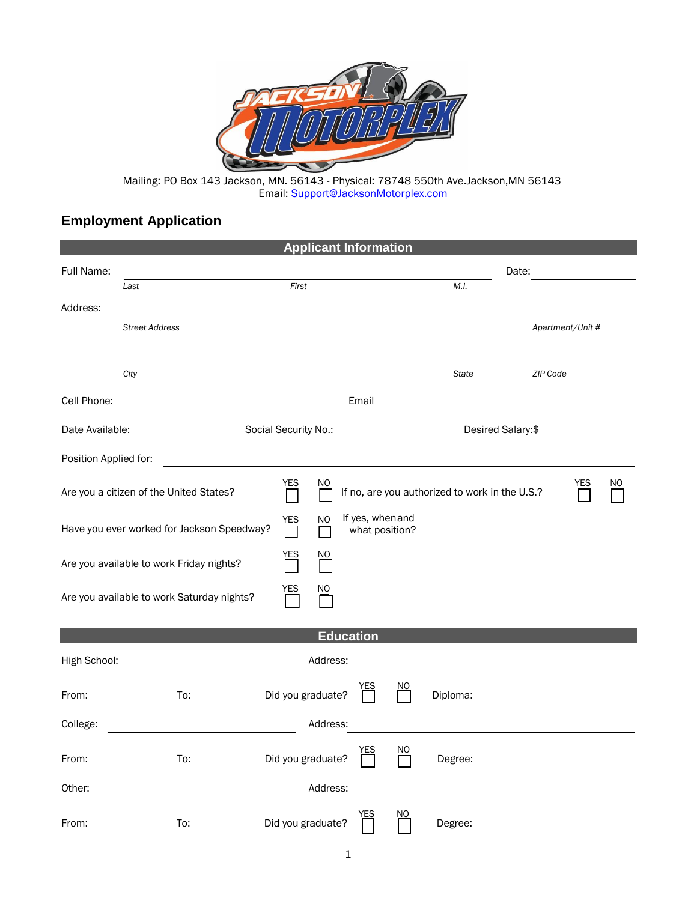

Mailing: PO Box 143 Jackson, MN. 56143 - Physical: 78748 550th Ave.Jackson,MN 56143 Email: Support[@JacksonMotorplex.com](mailto:Djohnson@JacksonMotorplex.com)

## **Employment Application**

| <b>Applicant Information</b> |                                                                                                                                                                                                                                |                            |                                    |     |                                                                                                                                                                                                                                      |                                                     |                  |     |
|------------------------------|--------------------------------------------------------------------------------------------------------------------------------------------------------------------------------------------------------------------------------|----------------------------|------------------------------------|-----|--------------------------------------------------------------------------------------------------------------------------------------------------------------------------------------------------------------------------------------|-----------------------------------------------------|------------------|-----|
| Full Name:                   |                                                                                                                                                                                                                                |                            |                                    |     |                                                                                                                                                                                                                                      | Date:                                               |                  |     |
|                              | Last                                                                                                                                                                                                                           | First                      |                                    |     | M.I.                                                                                                                                                                                                                                 |                                                     |                  |     |
| Address:                     |                                                                                                                                                                                                                                |                            |                                    |     |                                                                                                                                                                                                                                      |                                                     |                  |     |
|                              | <b>Street Address</b>                                                                                                                                                                                                          |                            |                                    |     |                                                                                                                                                                                                                                      |                                                     | Apartment/Unit # |     |
|                              |                                                                                                                                                                                                                                |                            |                                    |     |                                                                                                                                                                                                                                      |                                                     |                  |     |
|                              | City                                                                                                                                                                                                                           |                            |                                    |     | <b>State</b>                                                                                                                                                                                                                         | ZIP Code                                            |                  |     |
| Cell Phone:                  |                                                                                                                                                                                                                                |                            | Email                              |     | <u>and the community of the community of the community of the community of the community of the community of the community of the community of the community of the community of the community of the community of the community</u> |                                                     |                  |     |
| Date Available:              |                                                                                                                                                                                                                                |                            |                                    |     | Desired Salary:\$                                                                                                                                                                                                                    |                                                     |                  |     |
|                              |                                                                                                                                                                                                                                |                            |                                    |     |                                                                                                                                                                                                                                      |                                                     |                  |     |
| Position Applied for:        |                                                                                                                                                                                                                                |                            |                                    |     |                                                                                                                                                                                                                                      |                                                     |                  |     |
|                              | Are you a citizen of the United States?                                                                                                                                                                                        | <b>YES</b><br>NO.          |                                    |     | If no, are you authorized to work in the U.S.?                                                                                                                                                                                       |                                                     | YES              | NO. |
|                              | Have you ever worked for Jackson Speedway?                                                                                                                                                                                     | YES<br><b>NO</b><br>$\Box$ | If yes, when and<br>what position? |     | <u> 1989 - Jan Stein Stein Stein Stein Stein Stein Stein Stein Stein Stein Stein Stein Stein Stein Stein Stein S</u>                                                                                                                 |                                                     |                  |     |
|                              | Are you available to work Friday nights?                                                                                                                                                                                       | <b>YES</b><br>NO.          |                                    |     |                                                                                                                                                                                                                                      |                                                     |                  |     |
|                              | Are you available to work Saturday nights?                                                                                                                                                                                     | YES<br>NO.                 |                                    |     |                                                                                                                                                                                                                                      |                                                     |                  |     |
|                              |                                                                                                                                                                                                                                |                            | <b>Education</b>                   |     |                                                                                                                                                                                                                                      |                                                     |                  |     |
| High School:                 |                                                                                                                                                                                                                                | Address:                   |                                    |     |                                                                                                                                                                                                                                      |                                                     |                  |     |
| From:                        | To: and the state of the state of the state of the state of the state of the state of the state of the state of the state of the state of the state of the state of the state of the state of the state of the state of the st | Did you graduate?          |                                    | ΝO  | Diploma:                                                                                                                                                                                                                             | <u> 1980 - Jan James James Barbara, president e</u> |                  |     |
| College:                     |                                                                                                                                                                                                                                | Address:                   |                                    |     |                                                                                                                                                                                                                                      |                                                     |                  |     |
| From:                        | To: the contract of the contract of the contract of the contract of the contract of the contract of the contract of the contract of the contract of the contract of the contract of the contract of the contract of the contra | Did you graduate?          |                                    | ΝO  |                                                                                                                                                                                                                                      |                                                     |                  |     |
| Other:                       |                                                                                                                                                                                                                                | Address:                   |                                    |     |                                                                                                                                                                                                                                      |                                                     |                  |     |
| From:                        | To:                                                                                                                                                                                                                            | Did you graduate?          | YES                                | NO. | Degree:                                                                                                                                                                                                                              |                                                     |                  |     |